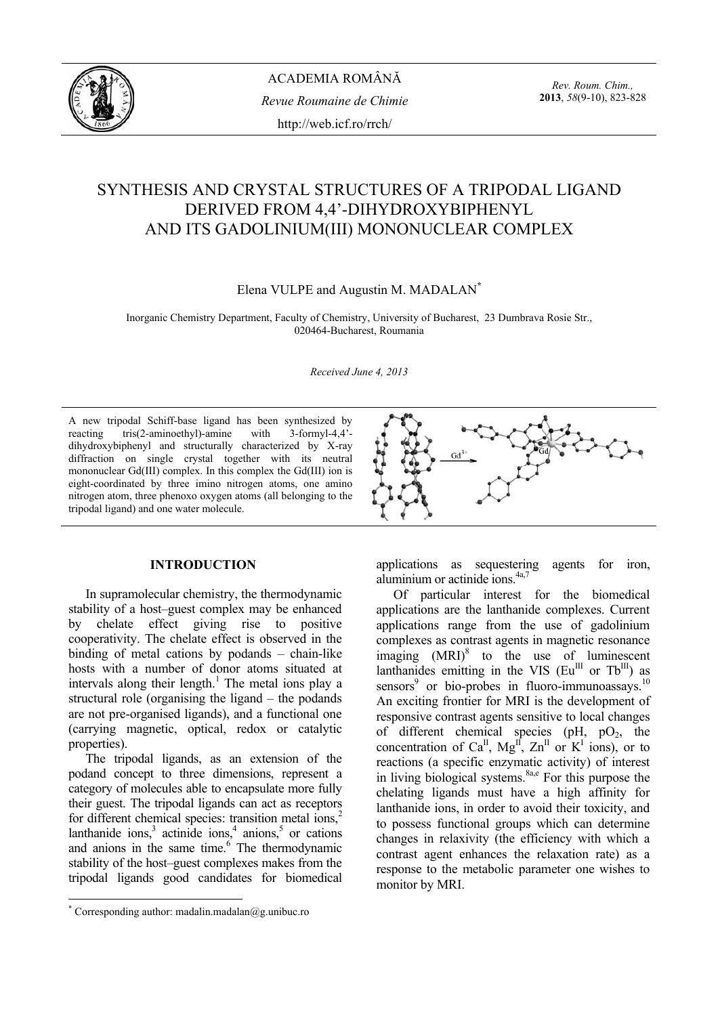

*Rev. Roum. Chim.,*  **2013**, *58*(9-10), 823-828

# SYNTHESIS AND CRYSTAL STRUCTURES OF A TRIPODAL LIGAND DERIVED FROM 4,4'-DIHYDROXYBIPHENYL AND ITS GADOLINIUM(III) MONONUCLEAR COMPLEX

## Elena VULPE and Augustin M. MADALAN**\***

Inorganic Chemistry Department, Faculty of Chemistry, University of Bucharest, 23 Dumbrava Rosie Str., 020464-Bucharest, Roumania

*Received June 4, 2013*

A new tripodal Schiff-base ligand has been synthesized by reacting tris(2-aminoethyl)-amine with 3-formyl-4,4' dihydroxybiphenyl and structurally characterized by X-ray diffraction on single crystal together with its neutral mononuclear Gd(III) complex. In this complex the Gd(III) ion is eight-coordinated by three imino nitrogen atoms, one amino nitrogen atom, three phenoxo oxygen atoms (all belonging to the tripodal ligand) and one water molecule.



## **INTRODUCTION\***

 In supramolecular chemistry, the thermodynamic stability of a host–guest complex may be enhanced by chelate effect giving rise to positive cooperativity. The chelate effect is observed in the binding of metal cations by podands – chain-like hosts with a number of donor atoms situated at intervals along their length.<sup>1</sup> The metal ions play a structural role (organising the ligand – the podands are not pre-organised ligands), and a functional one (carrying magnetic, optical, redox or catalytic properties).

 The tripodal ligands, as an extension of the podand concept to three dimensions, represent a category of molecules able to encapsulate more fully their guest. The tripodal ligands can act as receptors for different chemical species: transition metal ions,<sup>2</sup> lanthanide ions,  $3$  actinide ions,  $4$  anions,  $5$  or cations and anions in the same time. $6$  The thermodynamic stability of the host–guest complexes makes from the tripodal ligands good candidates for biomedical

applications as sequestering agents for iron, aluminium or actinide ions.<sup>4a,7</sup>

 Of particular interest for the biomedical applications are the lanthanide complexes. Current applications range from the use of gadolinium complexes as contrast agents in magnetic resonance imaging  $(MRI)^8$  to the use of luminescent lanthanides emitting in the VIS ( $Eu^{III}$  or Tb<sup>III</sup>) as sensors $9$  or bio-probes in fluoro-immunoassays.<sup>10</sup> An exciting frontier for MRI is the development of responsive contrast agents sensitive to local changes of different chemical species ( $pH$ ,  $pO_2$ , the concentration of Ca<sup>II</sup>, Mg<sup>II</sup>,  $\text{Zn}^{\text{II}}$  or K<sup>I</sup> ions), or to reactions (a specific enzymatic activity) of interest in living biological systems. $8a,e$  For this purpose the chelating ligands must have a high affinity for lanthanide ions, in order to avoid their toxicity, and to possess functional groups which can determine changes in relaxivity (the efficiency with which a contrast agent enhances the relaxation rate) as a response to the metabolic parameter one wishes to monitor by MRI.

 \* Corresponding author: madalin.madalan@g.unibuc.ro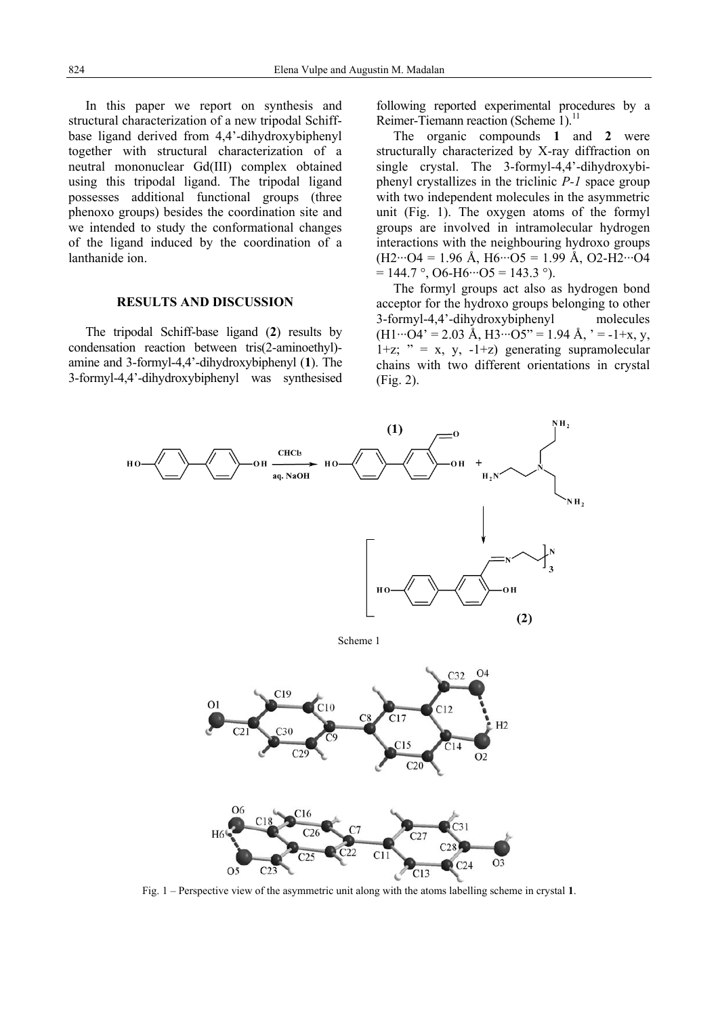In this paper we report on synthesis and structural characterization of a new tripodal Schiffbase ligand derived from 4,4'-dihydroxybiphenyl together with structural characterization of a neutral mononuclear Gd(III) complex obtained using this tripodal ligand. The tripodal ligand possesses additional functional groups (three phenoxo groups) besides the coordination site and we intended to study the conformational changes of the ligand induced by the coordination of a lanthanide ion.

## **RESULTS AND DISCUSSION**

The tripodal Schiff-base ligand (**2**) results by condensation reaction between tris(2-aminoethyl) amine and 3-formyl-4,4'-dihydroxybiphenyl (**1**). The 3-formyl-4,4'-dihydroxybiphenyl was synthesised following reported experimental procedures by a Reimer-Tiemann reaction (Scheme 1).<sup>11</sup>

The organic compounds **1** and **2** were structurally characterized by X-ray diffraction on single crystal. The 3-formyl-4,4'-dihydroxybiphenyl crystallizes in the triclinic *P-1* space group with two independent molecules in the asymmetric unit (Fig. 1). The oxygen atoms of the formyl groups are involved in intramolecular hydrogen interactions with the neighbouring hydroxo groups  $(H2\cdots O4 = 1.96 \text{ Å}, H6\cdots O5 = 1.99 \text{ Å}, O2-H2\cdots O4$  $= 144.7$  °, O6-H6…O5 = 143.3 °).

The formyl groups act also as hydrogen bond acceptor for the hydroxo groups belonging to other 3-formyl-4,4'-dihydroxybiphenyl molecules  $(H1\cdots O4' = 2.03 \text{ Å}, H3\cdots O5'' = 1.94 \text{ Å},$  ' = -1+x, y,  $1+z$ ; " = x, y,  $-1+z$ ) generating supramolecular chains with two different orientations in crystal (Fig. 2).



Fig. 1 – Perspective view of the asymmetric unit along with the atoms labelling scheme in crystal **1**.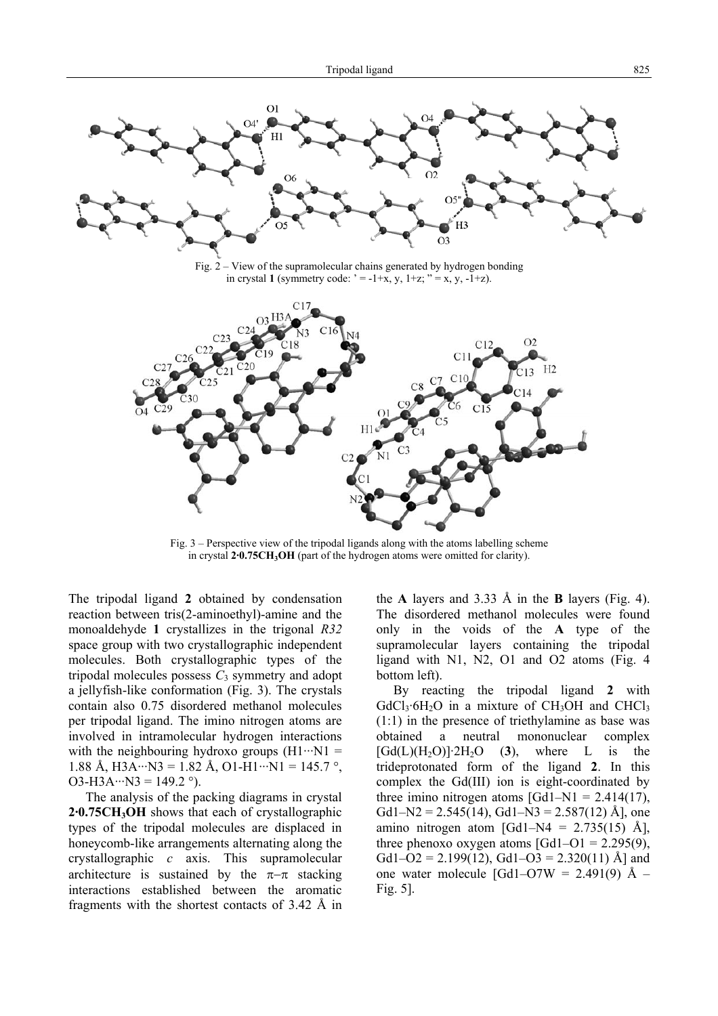

Fig. 3 – Perspective view of the tripodal ligands along with the atoms labelling scheme in crystal 2<sup>.</sup>0.75CH<sub>3</sub>OH (part of the hydrogen atoms were omitted for clarity).

The tripodal ligand **2** obtained by condensation reaction between tris(2-aminoethyl)-amine and the monoaldehyde **1** crystallizes in the trigonal *R32* space group with two crystallographic independent molecules. Both crystallographic types of the tripodal molecules possess  $C_3$  symmetry and adopt a jellyfish-like conformation (Fig. 3). The crystals contain also 0.75 disordered methanol molecules per tripodal ligand. The imino nitrogen atoms are involved in intramolecular hydrogen interactions with the neighbouring hydroxo groups  $(H1 \cdots N1)$ 1.88 Å, H3A···N3 = 1.82 Å, O1-H1···N1 = 145.7 °, O3-H3A···N3 =  $149.2$  °).

 The analysis of the packing diagrams in crystal 2.0.75CH<sub>3</sub>OH shows that each of crystallographic types of the tripodal molecules are displaced in honeycomb-like arrangements alternating along the crystallographic *c* axis. This supramolecular architecture is sustained by the  $\pi-\pi$  stacking interactions established between the aromatic fragments with the shortest contacts of 3.42 Å in the **A** layers and 3.33 Å in the **B** layers (Fig. 4). The disordered methanol molecules were found only in the voids of the **A** type of the supramolecular layers containing the tripodal ligand with N1, N2, O1 and O2 atoms (Fig. 4 bottom left).

 By reacting the tripodal ligand **2** with  $GdCl<sub>3</sub>·6H<sub>2</sub>O$  in a mixture of  $CH<sub>3</sub>OH$  and  $CHCl<sub>3</sub>$ (1:1) in the presence of triethylamine as base was obtained a neutral mononuclear complex  $[Gd(L)(H<sub>2</sub>O)]$ <sup>2</sup>H<sub>2</sub>O (3), where L is the trideprotonated form of the ligand **2**. In this complex the Gd(III) ion is eight-coordinated by three imino nitrogen atoms  $[Gd1-N1 = 2.414(17)]$ , Gd1–N2 = 2.545(14), Gd1–N3 = 2.587(12) Å], one amino nitrogen atom [Gd1–N4 =  $2.735(15)$  Å], three phenoxo oxygen atoms  $[Gd1-O1 = 2.295(9)]$ , Gd1–O2 = 2.199(12), Gd1–O3 = 2.320(11) Å] and one water molecule  $\text{[Gd1-O7W]} = 2.491(9)$  Å – Fig. 5].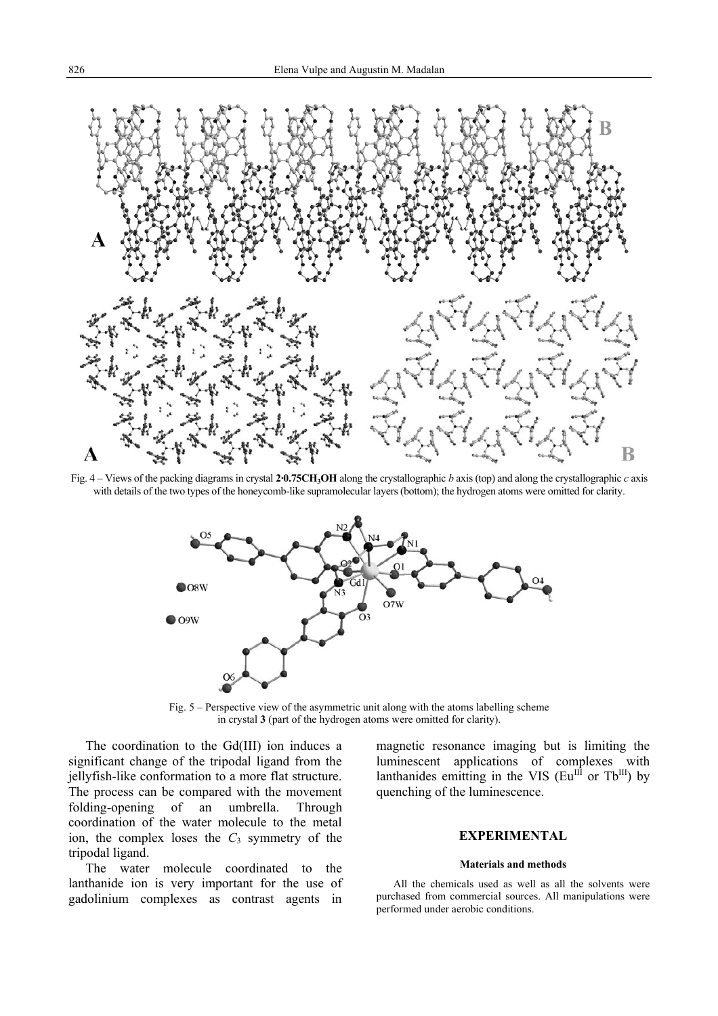

Fig. 4 – Views of the packing diagrams in crystal **2·0.75CH3OH** along the crystallographic *b* axis (top) and along the crystallographic *c* axis with details of the two types of the honeycomb-like supramolecular layers (bottom); the hydrogen atoms were omitted for clarity.



Fig. 5 – Perspective view of the asymmetric unit along with the atoms labelling scheme in crystal **3** (part of the hydrogen atoms were omitted for clarity).

The coordination to the Gd(III) ion induces a significant change of the tripodal ligand from the jellyfish-like conformation to a more flat structure. The process can be compared with the movement folding-opening of an umbrella. Through coordination of the water molecule to the metal ion, the complex loses the  $C_3$  symmetry of the tripodal ligand.

The water molecule coordinated to the lanthanide ion is very important for the use of gadolinium complexes as contrast agents in

magnetic resonance imaging but is limiting the luminescent applications of complexes with lanthanides emitting in the VIS  $(Eu^{III} \text{ or } Tb^{III})$  by quenching of the luminescence.

#### **EXPERIMENTAL**

### **Materials and methods**

All the chemicals used as well as all the solvents were purchased from commercial sources. All manipulations were performed under aerobic conditions.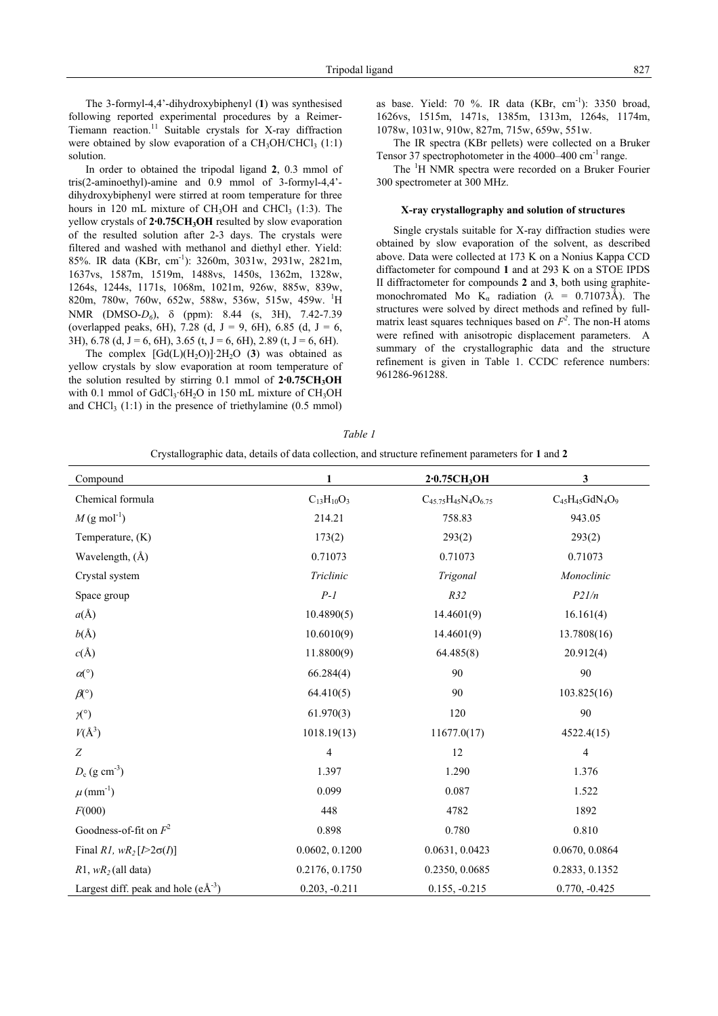The 3-formyl-4,4'-dihydroxybiphenyl (**1**) was synthesised following reported experimental procedures by a Reimer-Tiemann reaction.11 Suitable crystals for X-ray diffraction were obtained by slow evaporation of a  $CH<sub>3</sub>OH/CHCl<sub>3</sub> (1:1)$ solution.

In order to obtained the tripodal ligand **2**, 0.3 mmol of tris(2-aminoethyl)-amine and 0.9 mmol of 3-formyl-4,4' dihydroxybiphenyl were stirred at room temperature for three hours in 120 mL mixture of  $CH<sub>3</sub>OH$  and  $CHCl<sub>3</sub>$  (1:3). The yellow crystals of 2.0.75CH<sub>3</sub>OH resulted by slow evaporation of the resulted solution after 2-3 days. The crystals were filtered and washed with methanol and diethyl ether. Yield: 85%. IR data (KBr, cm-1): 3260m, 3031w, 2931w, 2821m, 1637vs, 1587m, 1519m, 1488vs, 1450s, 1362m, 1328w, 1264s, 1244s, 1171s, 1068m, 1021m, 926w, 885w, 839w, 820m, 780w, 760w, 652w, 588w, 536w, 515w, 459w. <sup>1</sup>H NMR (DMSO-*D6*), δ (ppm): 8.44 (s, 3H), 7.42-7.39 (overlapped peaks, 6H), 7.28 (d,  $J = 9$ , 6H), 6.85 (d,  $J = 6$ , 3H),  $6.78$  (d,  $J = 6$ , 6H),  $3.65$  (t,  $J = 6$ , 6H),  $2.89$  (t,  $J = 6$ , 6H).

The complex  $\text{[Gd(L)(H<sub>2</sub>O)]·2H<sub>2</sub>O (3)}$  was obtained as yellow crystals by slow evaporation at room temperature of the solution resulted by stirring  $0.1$  mmol of  $2.0.75CH<sub>3</sub>OH$ with 0.1 mmol of GdCl<sub>3</sub>·6H<sub>2</sub>O in 150 mL mixture of CH<sub>3</sub>OH and CHCl<sub>3</sub>  $(1:1)$  in the presence of triethylamine  $(0.5 \text{ mmol})$  as base. Yield: 70 %. IR data (KBr, cm-1): 3350 broad, 1626vs, 1515m, 1471s, 1385m, 1313m, 1264s, 1174m, 1078w, 1031w, 910w, 827m, 715w, 659w, 551w.

The IR spectra (KBr pellets) were collected on a Bruker Tensor 37 spectrophotometer in the 4000–400 cm-1 range.

The <sup>1</sup>H NMR spectra were recorded on a Bruker Fourier 300 spectrometer at 300 MHz.

#### **X-ray crystallography and solution of structures**

Single crystals suitable for X-ray diffraction studies were obtained by slow evaporation of the solvent, as described above. Data were collected at 173 K on a Nonius Kappa CCD diffactometer for compound **1** and at 293 K on a STOE IPDS II diffractometer for compounds **2** and **3**, both using graphitemonochromated Mo K<sub>a</sub> radiation ( $\lambda$  = 0.71073Å). The structures were solved by direct methods and refined by fullmatrix least squares techniques based on  $F^2$ . The non-H atoms were refined with anisotropic displacement parameters. A summary of the crystallographic data and the structure refinement is given in Table 1. CCDC reference numbers: 961286-961288.

*Table 1* 

| Crystallographic data, details of data collection, and structure refinement parameters for 1 and 2 |  |  |
|----------------------------------------------------------------------------------------------------|--|--|
|                                                                                                    |  |  |

| Compound                             | 1                       | 2.0.75CH <sub>3</sub> OH     | 3                       |
|--------------------------------------|-------------------------|------------------------------|-------------------------|
| Chemical formula                     | $C_{13}H_{10}O_3$       | $C_{45.75}H_{45}N_4O_{6.75}$ | $C_{45}H_{45}GdN_4O_9$  |
| $M$ (g mol <sup>-1</sup> )           | 214.21                  | 758.83                       | 943.05                  |
| Temperature, (K)                     | 173(2)                  | 293(2)                       | 293(2)                  |
| Wavelength, (Å)                      | 0.71073                 | 0.71073                      | 0.71073                 |
| Crystal system                       | Triclinic               | Trigonal                     | Monoclinic              |
| Space group                          | $P-I$                   | R32                          | P21/n                   |
| $a(\AA)$                             | 10.4890(5)              | 14.4601(9)                   | 16.161(4)               |
| $b(\AA)$                             | 10.6010(9)              | 14.4601(9)                   | 13.7808(16)             |
| $c(\AA)$                             | 11.8800(9)              | 64.485(8)                    | 20.912(4)               |
| $\alpha (^\circ)$                    | 66.284(4)               | 90                           | 90                      |
| $\beta$ (°)                          | 64.410(5)               | 90                           | 103.825(16)             |
| $\mathcal{H}^{\circ}$                | 61.970(3)               | 120                          | 90                      |
| $V(A^3)$                             | 1018.19(13)             | 11677.0(17)                  | 4522.4(15)              |
| Z                                    | $\overline{\mathbf{4}}$ | 12                           | $\overline{\mathbf{4}}$ |
| $D_c$ (g cm <sup>-3</sup> )          | 1.397                   | 1.290                        | 1.376                   |
| $\mu$ (mm <sup>-1</sup> )            | 0.099                   | 0.087                        | 1.522                   |
| F(000)                               | 448                     | 4782                         | 1892                    |
| Goodness-of-fit on $F^2$             | 0.898                   | 0.780                        | 0.810                   |
| Final R1, $wR_2[I>2\sigma(I)]$       | 0.0602, 0.1200          | 0.0631, 0.0423               | 0.0670, 0.0864          |
| $R1, wR_2$ (all data)                | 0.2176, 0.1750          | 0.2350, 0.0685               | 0.2833, 0.1352          |
| Largest diff. peak and hole $(eA-3)$ | $0.203, -0.211$         | $0.155, -0.215$              | $0.770, -0.425$         |